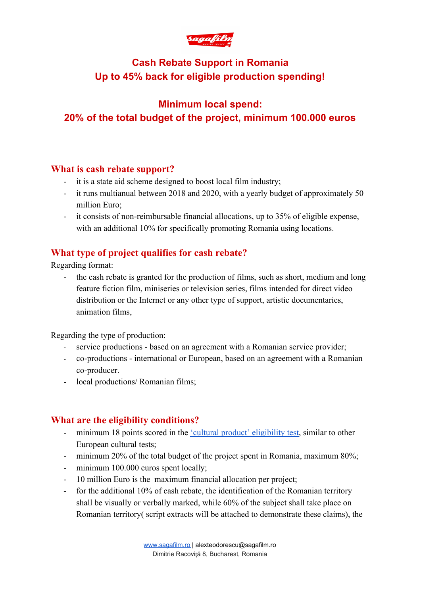

# **Cash Rebate Support in Romania Up to 45% back for eligible production spending!**

# **Minimum local spend: 20% of the total budget of the project, minimum 100.000 euros**

#### **What is cash rebate support?**

- it is a state aid scheme designed to boost local film industry;
- it runs multianual between 2018 and 2020, with a yearly budget of approximately 50 million Euro;
- it consists of non-reimbursable financial allocations, up to 35% of eligible expense, with an additional 10% for specifically promoting Romania using locations.

## **What type of project qualifies for cash rebate?**

Regarding format:

- the cash rebate is granted for the production of films, such as short, medium and long feature fiction film, miniseries or television series, films intended for direct video distribution or the Internet or any other type of support, artistic documentaries, animation films,

Regarding the type of production:

- service productions based on an agreement with a Romanian service provider;
- co-productions international or European, based on an agreement with a Romanian co-producer.
- local productions/ Romanian films;

#### **What are the eligibility conditions?**

- minimum 18 points scored in the <u>'cultural product' eligibility test</u>, similar to other European cultural tests;
- minimum 20% of the total budget of the project spent in Romania, maximum 80%;
- minimum 100.000 euros spent locally;
- 10 million Euro is the maximum financial allocation per project;
- for the additional 10% of cash rebate, the identification of the Romanian territory shall be visually or verbally marked, while 60% of the subject shall take place on Romanian territory( script extracts will be attached to demonstrate these claims), the